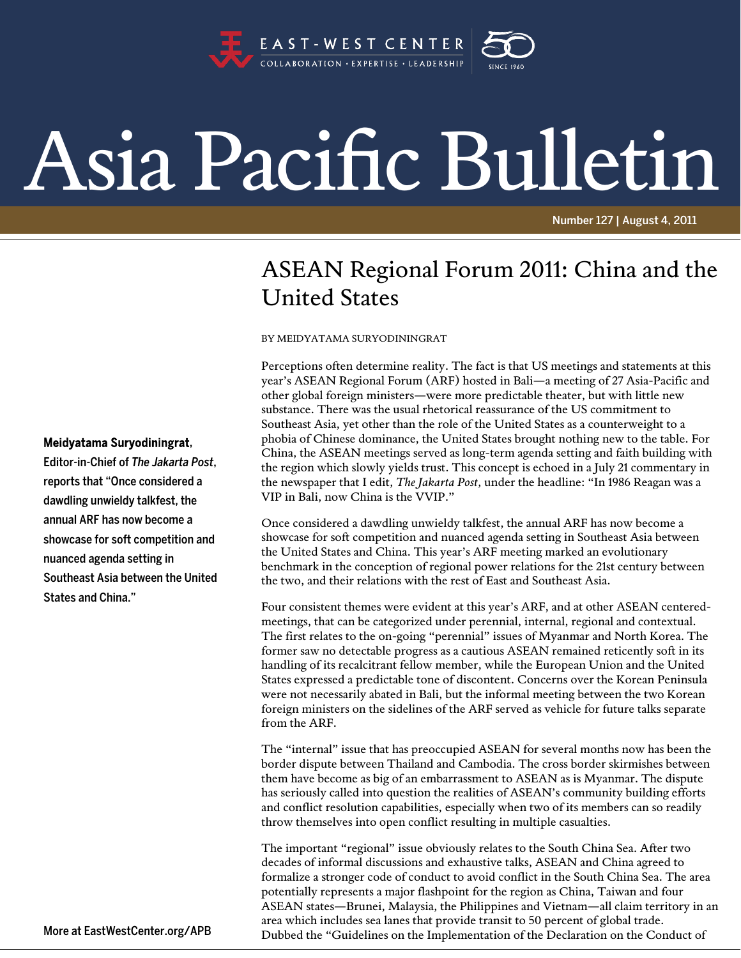

## Asia Pacific Bulletin

Number 127 | August 4, 2011

## ASEAN Regional Forum 2011: China and the United States

BY MEIDYATAMA SURYODININGRAT

Perceptions often determine reality. The fact is that US meetings and statements at this year's ASEAN Regional Forum (ARF) hosted in Bali—a meeting of 27 Asia-Pacific and other global foreign ministers—were more predictable theater, but with little new substance. There was the usual rhetorical reassurance of the US commitment to Southeast Asia, yet other than the role of the United States as a counterweight to a phobia of Chinese dominance, the United States brought nothing new to the table. For China, the ASEAN meetings served as long-term agenda setting and faith building with the region which slowly yields trust. This concept is echoed in a July 21 commentary in the newspaper that I edit, *The Jakarta Post*, under the headline: "In 1986 Reagan was a VIP in Bali, now China is the VVIP."

Once considered a dawdling unwieldy talkfest, the annual ARF has now become a showcase for soft competition and nuanced agenda setting in Southeast Asia between the United States and China. This year's ARF meeting marked an evolutionary benchmark in the conception of regional power relations for the 21st century between the two, and their relations with the rest of East and Southeast Asia.

Four consistent themes were evident at this year's ARF, and at other ASEAN centeredmeetings, that can be categorized under perennial, internal, regional and contextual. The first relates to the on-going "perennial" issues of Myanmar and North Korea. The former saw no detectable progress as a cautious ASEAN remained reticently soft in its handling of its recalcitrant fellow member, while the European Union and the United States expressed a predictable tone of discontent. Concerns over the Korean Peninsula were not necessarily abated in Bali, but the informal meeting between the two Korean foreign ministers on the sidelines of the ARF served as vehicle for future talks separate from the ARF.

The "internal" issue that has preoccupied ASEAN for several months now has been the border dispute between Thailand and Cambodia. The cross border skirmishes between them have become as big of an embarrassment to ASEAN as is Myanmar. The dispute has seriously called into question the realities of ASEAN's community building efforts and conflict resolution capabilities, especially when two of its members can so readily throw themselves into open conflict resulting in multiple casualties.

The important "regional" issue obviously relates to the South China Sea. After two decades of informal discussions and exhaustive talks, ASEAN and China agreed to formalize a stronger code of conduct to avoid conflict in the South China Sea. The area potentially represents a major flashpoint for the region as China, Taiwan and four ASEAN states—Brunei, Malaysia, the Philippines and Vietnam—all claim territory in an area which includes sea lanes that provide transit to 50 percent of global trade. Dubbed the "Guidelines on the Implementation of the Declaration on the Conduct of

## Meidyatama Suryodiningrat,

Editor-in-Chief of *The Jakarta Post*, reports that "Once considered a dawdling unwieldy talkfest, the annual ARF has now become a showcase for soft competition and nuanced agenda setting in Southeast Asia between the United States and China."